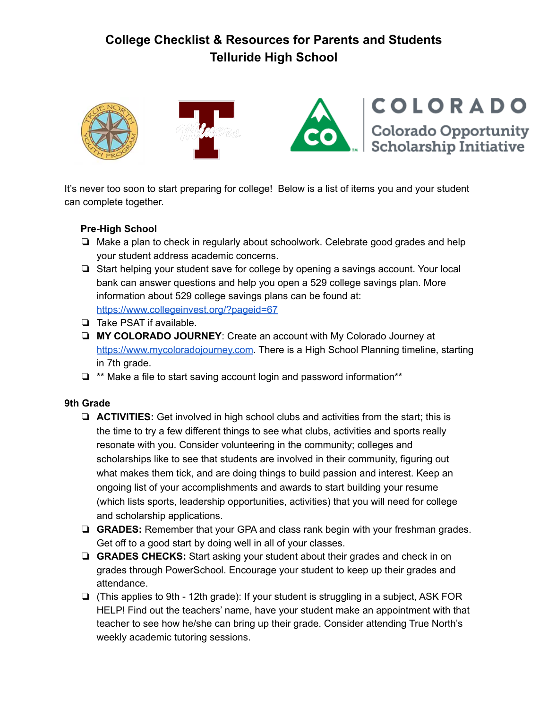

It's never too soon to start preparing for college! Below is a list of items you and your student can complete together.

## **Pre-High School**

- ❏ Make a plan to check in regularly about schoolwork. Celebrate good grades and help your student address academic concerns.
- ❏ Start helping your student save for college by opening a savings account. Your local bank can answer questions and help you open a 529 college savings plan. More information about 529 college savings plans can be found at: <https://www.collegeinvest.org/?pageid=67>
- ❏ Take PSAT if available.
- ❏ **MY COLORADO JOURNEY**: Create an account with My Colorado Journey at [https://www.mycoloradojourney.com](https://www.mycoloradojourney.com/journey). There is a High School Planning timeline, starting in 7th grade.
- ❏ \*\* Make a file to start saving account login and password information\*\*

### **9th Grade**

- ❏ **ACTIVITIES:** Get involved in high school clubs and activities from the start; this is the time to try a few different things to see what clubs, activities and sports really resonate with you. Consider volunteering in the community; colleges and scholarships like to see that students are involved in their community, figuring out what makes them tick, and are doing things to build passion and interest. Keep an ongoing list of your accomplishments and awards to start building your resume (which lists sports, leadership opportunities, activities) that you will need for college and scholarship applications.
- ❏ **GRADES:** Remember that your GPA and class rank begin with your freshman grades. Get off to a good start by doing well in all of your classes.
- ❏ **GRADES CHECKS:** Start asking your student about their grades and check in on grades through PowerSchool. Encourage your student to keep up their grades and attendance.
- ❏ (This applies to 9th 12th grade): If your student is struggling in a subject, ASK FOR HELP! Find out the teachers' name, have your student make an appointment with that teacher to see how he/she can bring up their grade. Consider attending True North's weekly academic tutoring sessions.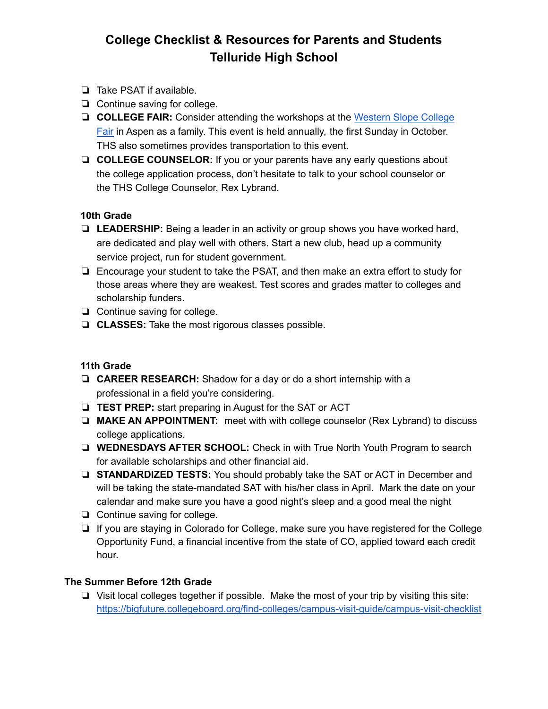- ❏ Take PSAT if available.
- ❏ Continue saving for college.
- ❏ **COLLEGE FAIR:** Consider attending the workshops at the [Western](http://www.cwscollegefair.org/) Slope College [Fair](http://www.cwscollegefair.org/) in Aspen as a family. This event is held annually, the first Sunday in October. THS also sometimes provides transportation to this event.
- ❏ **COLLEGE COUNSELOR:** If you or your parents have any early questions about the college application process, don't hesitate to talk to your school counselor or the THS College Counselor, Rex Lybrand.

## **10th Grade**

- ❏ **LEADERSHIP:** Being a leader in an activity or group shows you have worked hard, are dedicated and play well with others. Start a new club, head up a community service project, run for student government.
- ❏ Encourage your student to take the PSAT, and then make an extra effort to study for those areas where they are weakest. Test scores and grades matter to colleges and scholarship funders.
- ❏ Continue saving for college.
- ❏ **CLASSES:** Take the most rigorous classes possible.

## **11th Grade**

- ❏ **CAREER RESEARCH:** Shadow for a day or do a short internship with a professional in a field you're considering.
- ❏ **TEST PREP:** start preparing in August for the SAT or ACT
- ❏ **MAKE AN APPOINTMENT:** meet with with college counselor (Rex Lybrand) to discuss college applications.
- ❏ **WEDNESDAYS AFTER SCHOOL:** Check in with True North Youth Program to search for available scholarships and other financial aid.
- ❏ **STANDARDIZED TESTS:** You should probably take the SAT or ACT in December and will be taking the state-mandated SAT with his/her class in April. Mark the date on your calendar and make sure you have a good night's sleep and a good meal the night
- ❏ Continue saving for college.
- ❏ If you are staying in Colorado for College, make sure you have registered for the College Opportunity Fund, a financial incentive from the state of CO, applied toward each credit hour.

### **The Summer Before 12th Grade**

❏ Visit local colleges together if possible. Make the most of your trip by visiting this site: <https://bigfuture.collegeboard.org/find-colleges/campus-visit-guide/campus-visit-checklist>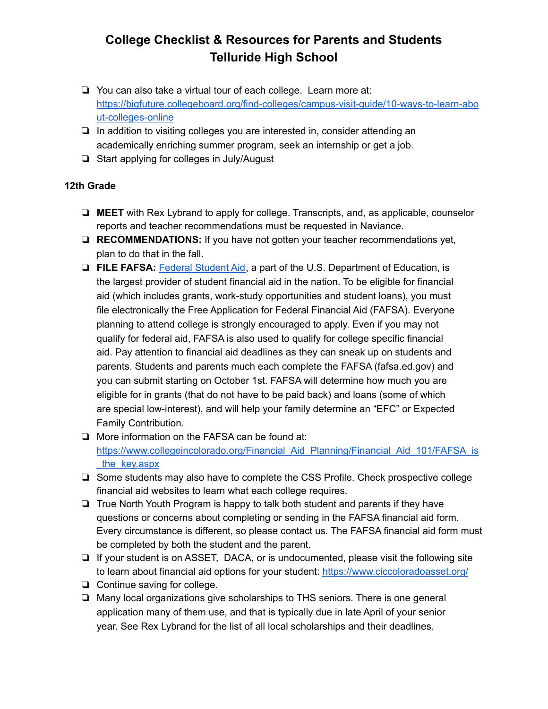- ❏ You can also take a virtual tour of each college. Learn more at: [https://bigfuture.collegeboard.org/find-colleges/campus-visit-guide/10-ways-to-learn-abo](https://bigfuture.collegeboard.org/find-colleges/campus-visit-guide/10-ways-to-learn-about-colleges-online) [ut-colleges-online](https://bigfuture.collegeboard.org/find-colleges/campus-visit-guide/10-ways-to-learn-about-colleges-online)
- ❏ In addition to visiting colleges you are interested in, consider attending an academically enriching summer program, seek an internship or get a job.
- ❏ Start applying for colleges in July/August

## **12th Grade**

- ❏ **MEET** with Rex Lybrand to apply for college. Transcripts, and, as applicable, counselor reports and teacher recommendations must be requested in Naviance.
- ❏ **RECOMMENDATIONS:** If you have not gotten your teacher recommendations yet, plan to do that in the fall.
- ❏ **FILE FAFSA:** Federal [Student](https://studentaid.ed.gov/about) Aid, a part of the U.S. Department of Education, is the largest provider of student financial aid in the nation. To be eligible for financial aid (which includes grants, work-study opportunities and student loans), you must file electronically the Free Application for Federal Financial Aid (FAFSA). Everyone planning to attend college is strongly encouraged to apply. Even if you may not qualify for federal aid, FAFSA is also used to qualify for college specific financial aid. Pay attention to financial aid deadlines as they can sneak up on students and parents. Students and parents much each complete the FAFSA (fafsa.ed.gov) and you can submit starting on October 1st. FAFSA will determine how much you are eligible for in grants (that do not have to be paid back) and loans (some of which are special low-interest), and will help your family determine an "EFC" or Expected Family Contribution.
- ❏ More information on the FAFSA can be found at: https://www.collegeincolorado.org/Financial Aid Planning/Financial Aid 101/FAFSA is [\\_the\\_key.aspx](https://www.collegeincolorado.org/Financial_Aid_Planning/Financial_Aid_101/FAFSA_is_the_key.aspx)
- ❏ Some students may also have to complete the CSS Profile. Check prospective college financial aid websites to learn what each college requires.
- ❏ True North Youth Program is happy to talk both student and parents if they have questions or concerns about completing or sending in the FAFSA financial aid form. Every circumstance is different, so please contact us. The FAFSA financial aid form must be completed by both the student and the parent.
- ❏ If your student is on ASSET, DACA, or is undocumented, please visit the following site to learn about financial aid options for your student: <https://www.ciccoloradoasset.org/>
- ❏ Continue saving for college.
- ❏ Many local organizations give scholarships to THS seniors. There is one general application many of them use, and that is typically due in late April of your senior year. See Rex Lybrand for the list of all local scholarships and their deadlines.